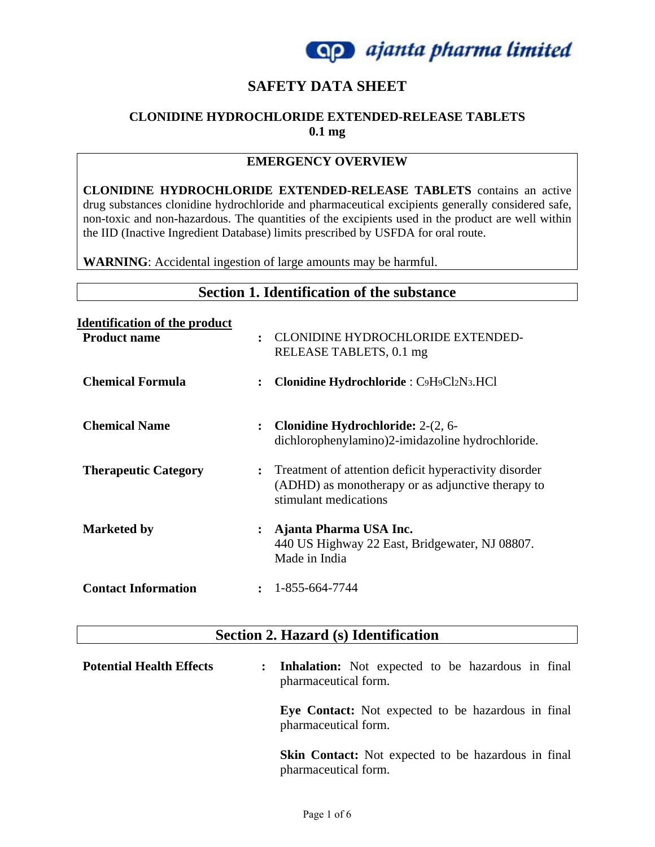

## **SAFETY DATA SHEET**

#### **CLONIDINE HYDROCHLORIDE EXTENDED-RELEASE TABLETS 0.1 mg**

#### **EMERGENCY OVERVIEW**

**CLONIDINE HYDROCHLORIDE EXTENDED-RELEASE TABLETS** contains an active drug substances clonidine hydrochloride and pharmaceutical excipients generally considered safe, non-toxic and non-hazardous. The quantities of the excipients used in the product are well within the IID (Inactive Ingredient Database) limits prescribed by USFDA for oral route.

**WARNING**: Accidental ingestion of large amounts may be harmful.

### **Section 1. Identification of the substance**

| <b>Identification of the product</b> |                                                                                                                                          |
|--------------------------------------|------------------------------------------------------------------------------------------------------------------------------------------|
| <b>Product name</b>                  | <b>CLONIDINE HYDROCHLORIDE EXTENDED-</b><br>$\ddot{\cdot}$<br>RELEASE TABLETS, 0.1 mg                                                    |
| <b>Chemical Formula</b>              | Clonidine Hydrochloride: C9H9Cl2N3.HCl<br>$\ddot{\cdot}$                                                                                 |
| <b>Chemical Name</b>                 | <b>Clonidine Hydrochloride: 2-(2, 6-</b><br>፡<br>dichlorophenylamino)2-imidazoline hydrochloride.                                        |
| <b>Therapeutic Category</b>          | Treatment of attention deficit hyperactivity disorder<br>፡<br>(ADHD) as monotherapy or as adjunctive therapy to<br>stimulant medications |
| <b>Marketed by</b>                   | Ajanta Pharma USA Inc.<br>$\ddot{\cdot}$<br>440 US Highway 22 East, Bridgewater, NJ 08807.<br>Made in India                              |
| <b>Contact Information</b>           | 1-855-664-7744<br>$\ddot{\phantom{a}}$                                                                                                   |

#### **Section 2. Hazard (s) Identification**

| <b>Potential Health Effects</b> | <b>Inhalation:</b> Not expected to be hazardous in final<br>pharmaceutical form.   |
|---------------------------------|------------------------------------------------------------------------------------|
|                                 | Eye Contact: Not expected to be hazardous in final<br>pharmaceutical form.         |
|                                 | <b>Skin Contact:</b> Not expected to be hazardous in final<br>pharmaceutical form. |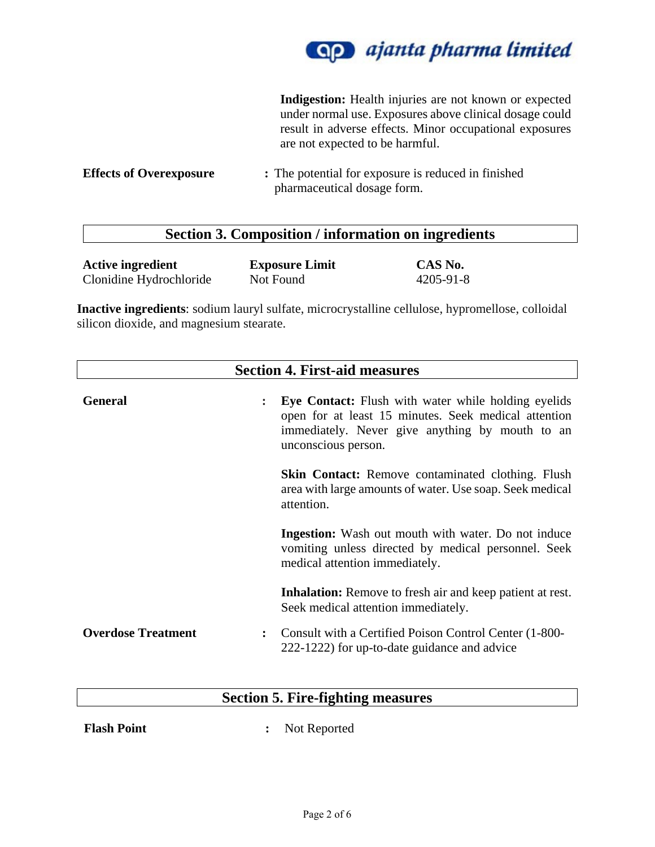

**Indigestion:** Health injuries are not known or expected under normal use. Exposures above clinical dosage could result in adverse effects. Minor occupational exposures are not expected to be harmful.

#### **Section 3. Composition / information on ingredients**

| <b>Active ingredient</b> | <b>Exposure Limit</b> | CAS No.   |
|--------------------------|-----------------------|-----------|
| Clonidine Hydrochloride  | Not Found             | 4205-91-8 |

**Inactive ingredients**: sodium lauryl sulfate, microcrystalline cellulose, hypromellose, colloidal silicon dioxide, and magnesium stearate.

| <b>Section 4. First-aid measures</b> |                                                                                                                                                                                                                |  |
|--------------------------------------|----------------------------------------------------------------------------------------------------------------------------------------------------------------------------------------------------------------|--|
| <b>General</b>                       | <b>Eye Contact:</b> Flush with water while holding eyelids<br>$\ddot{\cdot}$<br>open for at least 15 minutes. Seek medical attention<br>immediately. Never give anything by mouth to an<br>unconscious person. |  |
|                                      | <b>Skin Contact:</b> Remove contaminated clothing. Flush<br>area with large amounts of water. Use soap. Seek medical<br>attention.                                                                             |  |
|                                      | <b>Ingestion:</b> Wash out mouth with water. Do not induce<br>vomiting unless directed by medical personnel. Seek<br>medical attention immediately.                                                            |  |
|                                      | <b>Inhalation:</b> Remove to fresh air and keep patient at rest.<br>Seek medical attention immediately.                                                                                                        |  |
| <b>Overdose Treatment</b>            | Consult with a Certified Poison Control Center (1-800-<br>$\ddot{\cdot}$<br>222-1222) for up-to-date guidance and advice                                                                                       |  |

### **Section 5. Fire-fighting measures**

Flash Point : Not Reported

**Effects of Overexposure :** The potential for exposure is reduced in finished pharmaceutical dosage form.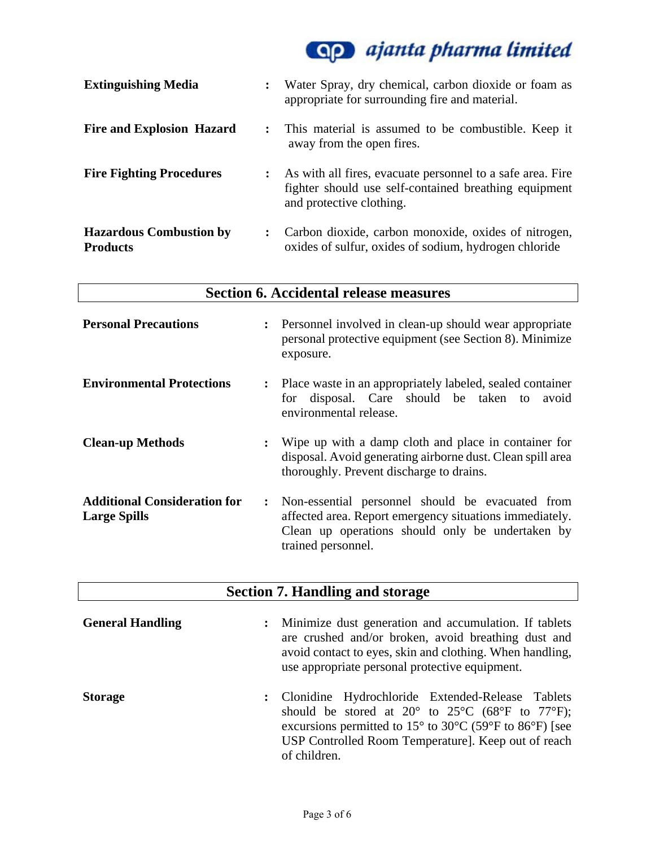

| <b>Extinguishing Media</b>                        | $\ddot{\phantom{a}}$ | Water Spray, dry chemical, carbon dioxide or foam as<br>appropriate for surrounding fire and material.                                          |
|---------------------------------------------------|----------------------|-------------------------------------------------------------------------------------------------------------------------------------------------|
| <b>Fire and Explosion Hazard</b>                  | $\ddot{\cdot}$       | This material is assumed to be combustible. Keep it<br>away from the open fires.                                                                |
| <b>Fire Fighting Procedures</b>                   |                      | As with all fires, evacuate personnel to a safe area. Fire<br>fighter should use self-contained breathing equipment<br>and protective clothing. |
| <b>Hazardous Combustion by</b><br><b>Products</b> |                      | Carbon dioxide, carbon monoxide, oxides of nitrogen,<br>oxides of sulfur, oxides of sodium, hydrogen chloride                                   |

# **Section 6. Accidental release measures**

| <b>Personal Precautions</b>                                |                      | : Personnel involved in clean-up should wear appropriate<br>personal protective equipment (see Section 8). Minimize<br>exposure.                                                      |
|------------------------------------------------------------|----------------------|---------------------------------------------------------------------------------------------------------------------------------------------------------------------------------------|
| <b>Environmental Protections</b>                           |                      | : Place waste in an appropriately labeled, sealed container<br>for disposal. Care should be taken to avoid<br>environmental release.                                                  |
| <b>Clean-up Methods</b>                                    | $\ddot{\cdot}$       | Wipe up with a damp cloth and place in container for<br>disposal. Avoid generating airborne dust. Clean spill area<br>thoroughly. Prevent discharge to drains.                        |
| <b>Additional Consideration for</b><br><b>Large Spills</b> | $\ddot{\phantom{a}}$ | Non-essential personnel should be evacuated from<br>affected area. Report emergency situations immediately.<br>Clean up operations should only be undertaken by<br>trained personnel. |

|                         | <b>Section 7. Handling and storage</b>                                                                                                                                                                                                                                                                                                    |
|-------------------------|-------------------------------------------------------------------------------------------------------------------------------------------------------------------------------------------------------------------------------------------------------------------------------------------------------------------------------------------|
| <b>General Handling</b> | Minimize dust generation and accumulation. If tablets<br>$\ddot{\cdot}$<br>are crushed and/or broken, avoid breathing dust and<br>avoid contact to eyes, skin and clothing. When handling,<br>use appropriate personal protective equipment.                                                                                              |
| <b>Storage</b>          | Clonidine Hydrochloride Extended-Release Tablets<br>$\mathbf{L}$<br>should be stored at 20 $^{\circ}$ to 25 $^{\circ}$ C (68 $^{\circ}$ F to 77 $^{\circ}$ F);<br>excursions permitted to $15^{\circ}$ to $30^{\circ}$ C (59 $^{\circ}$ F to 86 $^{\circ}$ F) [see<br>USP Controlled Room Temperature]. Keep out of reach<br>of children. |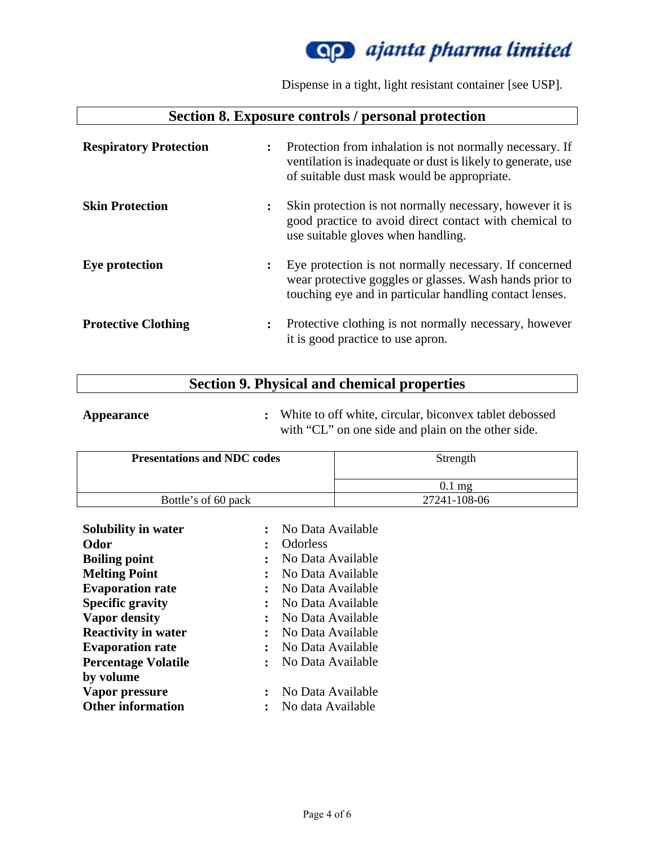# ~ *ajanta phanna limited*

Dispense in a tight, light resistant container [see USP].

### **Section 8. Exposure controls / personal protection**

| <b>Respiratory Protection</b> | $\ddot{\phantom{a}}$ | Protection from inhalation is not normally necessary. If<br>ventilation is inadequate or dust is likely to generate, use<br>of suitable dust mask would be appropriate.      |
|-------------------------------|----------------------|------------------------------------------------------------------------------------------------------------------------------------------------------------------------------|
| <b>Skin Protection</b>        | $\ddot{\cdot}$       | Skin protection is not normally necessary, however it is<br>good practice to avoid direct contact with chemical to<br>use suitable gloves when handling.                     |
| Eye protection                | $\ddot{\cdot}$       | Eye protection is not normally necessary. If concerned<br>wear protective goggles or glasses. Wash hands prior to<br>touching eye and in particular handling contact lenses. |
| <b>Protective Clothing</b>    | $\ddot{\cdot}$       | Protective clothing is not normally necessary, however<br>it is good practice to use apron.                                                                                  |

# **Section 9. Physical and chemical properties**

|  | Appearance |  |
|--|------------|--|
|  |            |  |

**Appendix to off white, circular, biconvex tablet debossed** with "CL" on one side and plain on the other side.

| <b>Presentations and NDC codes</b> | Strength         |
|------------------------------------|------------------|
|                                    | $0.1 \text{ mg}$ |
| Bottle's of 60 pack                | 27241-108-06     |

| Solubility in water        |                | No Data Available |
|----------------------------|----------------|-------------------|
| Odor                       | ∶              | <b>Odorless</b>   |
| <b>Boiling point</b>       | $\ddot{\cdot}$ | No Data Available |
| <b>Melting Point</b>       | $\ddot{\cdot}$ | No Data Available |
| <b>Evaporation rate</b>    | $\ddot{\cdot}$ | No Data Available |
| <b>Specific gravity</b>    | $\ddot{\cdot}$ | No Data Available |
| <b>Vapor density</b>       | $\ddot{\cdot}$ | No Data Available |
| <b>Reactivity in water</b> | $\ddot{\cdot}$ | No Data Available |
| <b>Evaporation rate</b>    | $\ddot{\cdot}$ | No Data Available |
| <b>Percentage Volatile</b> | $\ddot{\cdot}$ | No Data Available |
| by volume                  |                |                   |
| Vapor pressure             | $\ddot{\cdot}$ | No Data Available |
| <b>Other information</b>   |                | No data Available |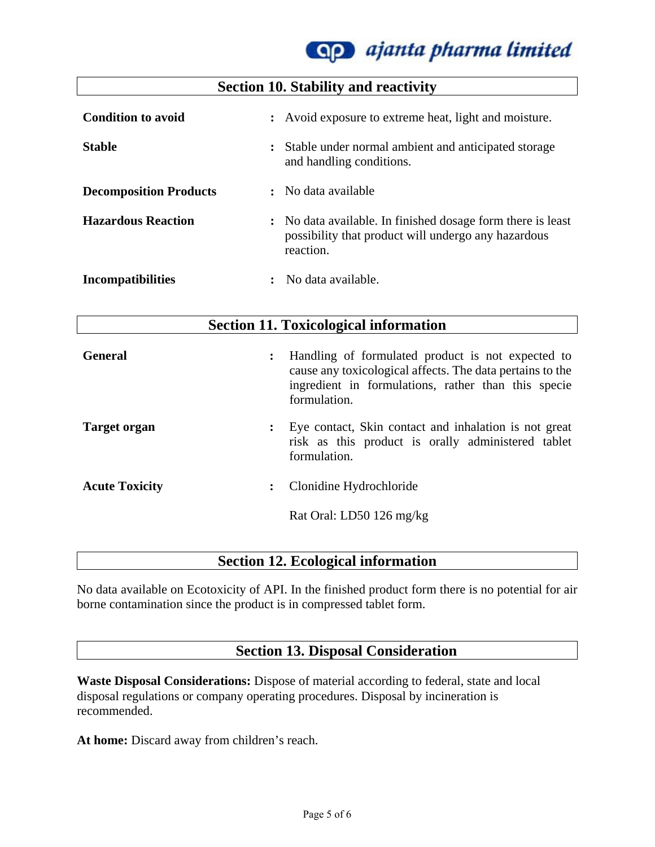# ~ *ajanta phanna limited*

#### **Section 10. Stability and reactivity**

| <b>Condition to avoid</b>     | : Avoid exposure to extreme heat, light and moisture.                                                                           |
|-------------------------------|---------------------------------------------------------------------------------------------------------------------------------|
| <b>Stable</b>                 | Stable under normal ambient and anticipated storage<br>$\ddot{\phantom{a}}$<br>and handling conditions.                         |
| <b>Decomposition Products</b> | : No data available                                                                                                             |
| <b>Hazardous Reaction</b>     | : No data available. In finished dosage form there is least<br>possibility that product will undergo any hazardous<br>reaction. |
| <b>Incompatibilities</b>      | No data available.                                                                                                              |

| <b>Section 11. Toxicological information</b> |              |                                                                                                                                                                       |
|----------------------------------------------|--------------|-----------------------------------------------------------------------------------------------------------------------------------------------------------------------|
| <b>General</b>                               | formulation. | Handling of formulated product is not expected to<br>cause any toxicological affects. The data pertains to the<br>ingredient in formulations, rather than this specie |
| Target organ                                 | formulation. | Eye contact, Skin contact and inhalation is not great<br>risk as this product is orally administered tablet                                                           |
| <b>Acute Toxicity</b>                        |              | Clonidine Hydrochloride                                                                                                                                               |
|                                              |              | Rat Oral: LD50 126 mg/kg                                                                                                                                              |

### **Section 12. Ecological information**

No data available on Ecotoxicity of API. In the finished product form there is no potential for air borne contamination since the product is in compressed tablet form.

**Section 13. Disposal Consideration** 

**Waste Disposal Considerations:** Dispose of material according to federal, state and local disposal regulations or company operating procedures. Disposal by incineration is recommended.

**At home:** Discard away from children's reach.